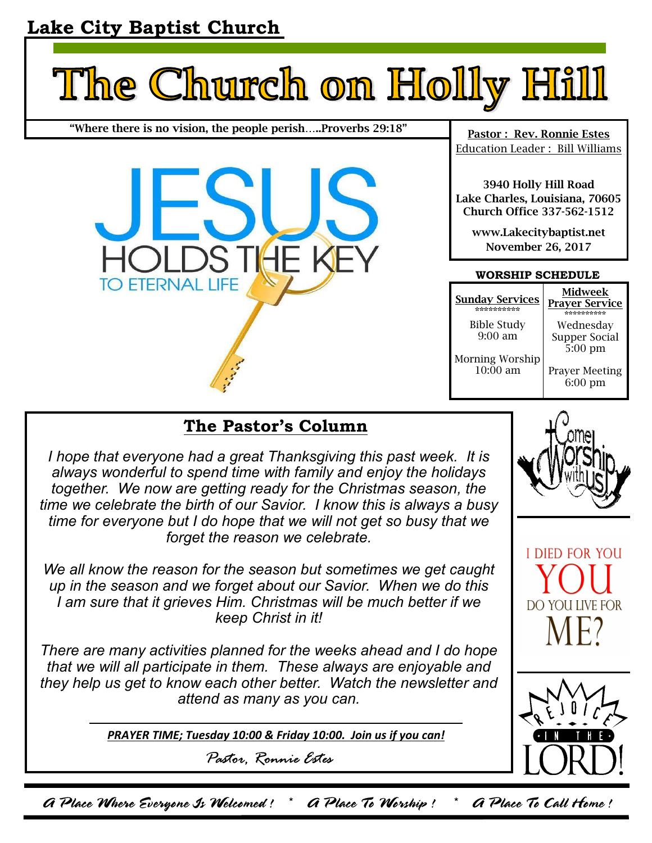# **Lake City Baptist Church**



**"Where there is no vision, the people perish…..Proverbs 29:18"** 



**Pastor : Rev. Ronnie Estes**  Education Leader : Bill Williams

**3940 Holly Hill Road Lake Charles, Louisiana, 70605 Church Office 337-562-1512** 

**www.Lakecitybaptist.net November 26, 2017** 

### **WORSHIP SCHEDULE**

| <b>Sunday Services</b>          | Midweek                                 |
|---------------------------------|-----------------------------------------|
| ***********                     | <b>Prayer Service</b>                   |
| <b>Bible Study</b><br>$9:00$ am | Wednesday<br>Supper Social<br>$5:00$ pm |
| Morning Worship                 | <b>Prayer Meeting</b>                   |
| $10:00$ am                      | $6:00 \text{ pm}$                       |

## **The Pastor's Column**

*I hope that everyone had a great Thanksgiving this past week. It is always wonderful to spend time with family and enjoy the holidays together.* We now are getting ready for the Christmas season, the *time we celebrate the birth of our Savior. I know this is always a busy time for everyone but I do hope that we will not get so busy that we forget the reason we celebrate.* 

*We all know the reason for the season but sometimes we get caught up in the season and we forget about our Savior. When we do this I am sure that it grieves Him. Christmas will be much better if we keep Christ in it!* 

*There are many activities planned for the weeks ahead and I do hope that we will all participate in them. These always are enjoyable and they help us get to know each other better. Watch the newsletter and attend as many as you can.* 

*PRAYER TIME; Tuesday 10:00 & Friday 10:00. Join us if you can!*

*Pastor, Ronnie Estes* 







A Place Where Everyone Is Welcomed ! \* A Place To Worship ! \* A Place To Call Home !